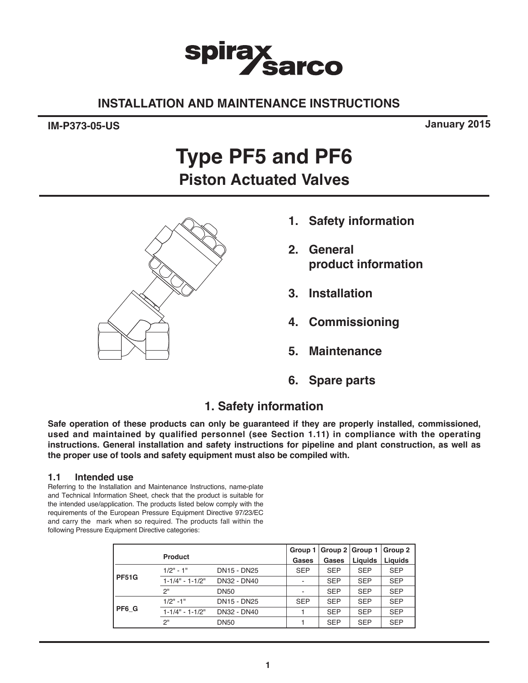# **spira** arco

# **INSTALLATION AND MAINTENANCE INSTRUCTIONS**

# **IM-P373-05-US**

**January 2015**

# **Type PF5 and PF6 Piston Actuated Valves**



- **1. Safety information**
- **2. General product information**
- **3. Installation**
- **4. Commissioning**
- **5. Maintenance**
- **6. Spare parts**

# **1. Safety information**

**Safe operation of these products can only be guaranteed if they are properly installed, commissioned, used and maintained by qualified personnel (see Section 1.11) in compliance with the operating instructions. General installation and safety instructions for pipeline and plant construction, as well as the proper use of tools and safety equipment must also be compiled with.** 

# **1.1 Intended use**

Referring to the Installation and Maintenance Instructions, name-plate and Technical Information Sheet, check that the product is suitable for the intended use/application. The products listed below comply with the requirements of the European Pressure Equipment Directive 97/23/EC and carry the mark when so required. The products fall within the following Pressure Equipment Directive categories:

|              |                       |             | Group 1                  | Group $2 \mid$ Group 1 |            | Group 2    |
|--------------|-----------------------|-------------|--------------------------|------------------------|------------|------------|
|              | <b>Product</b>        |             | Gases                    | Gases                  | Liquids    | Liquids    |
|              | $1/2" - 1"$           | DN15 - DN25 | <b>SEP</b>               | <b>SEP</b>             | <b>SEP</b> | <b>SEP</b> |
| <b>PF51G</b> | $1 - 1/4" - 1 - 1/2"$ | DN32 - DN40 | $\overline{\phantom{a}}$ | <b>SEP</b>             | <b>SEP</b> | <b>SEP</b> |
|              | 2"                    | <b>DN50</b> |                          | <b>SEP</b>             | <b>SEP</b> | <b>SEP</b> |
|              | $1/2" - 1"$           | DN15 - DN25 | <b>SEP</b>               | <b>SEP</b>             | <b>SEP</b> | <b>SEP</b> |
| PF6 G        | $1 - 1/4" - 1 - 1/2"$ | DN32 - DN40 |                          | <b>SEP</b>             | <b>SEP</b> | <b>SEP</b> |
|              | 2"                    | <b>DN50</b> |                          | <b>SEP</b>             | <b>SEP</b> | <b>SEP</b> |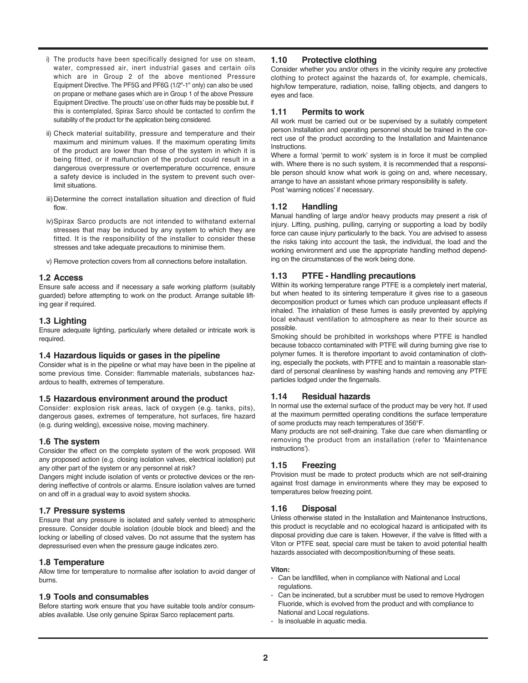- i) The products have been specifically designed for use on steam, water, compressed air, inert industrial gases and certain oils which are in Group 2 of the above mentioned Pressure Equipment Directive. The PF5G and PF6G (1/2"-1" only) can also be used on propane or methane gases which are in Group 1 of the above Pressure Equipment Directive. The proucts' use on other fluids may be possible but, if this is contemplated, Spirax Sarco should be contacted to confirm the suitability of the product for the application being considered.
- ii) Check material suitability, pressure and temperature and their maximum and minimum values. If the maximum operating limits of the product are lower than those of the system in which it is being fitted, or if malfunction of the product could result in a dangerous overpressure or overtemperature occurrence, ensure a safety device is included in the system to prevent such overlimit situations.
- iii) Determine the correct installation situation and direction of fluid flow.
- iv)Spirax Sarco products are not intended to withstand external stresses that may be induced by any system to which they are fitted. It is the responsibility of the installer to consider these stresses and take adequate precautions to minimise them.
- v) Remove protection covers from all connections before installation.

#### **1.2 Access**

Ensure safe access and if necessary a safe working platform (suitably guarded) before attempting to work on the product. Arrange suitable lifting gear if required.

#### **1.3 Lighting**

Ensure adequate lighting, particularly where detailed or intricate work is required.

#### **1.4 Hazardous liquids or gases in the pipeline**

Consider what is in the pipeline or what may have been in the pipeline at some previous time. Consider: flammable materials, substances hazardous to health, extremes of temperature.

#### **1.5 Hazardous environment around the product**

Consider: explosion risk areas, lack of oxygen (e.g. tanks, pits), dangerous gases, extremes of temperature, hot surfaces, fire hazard (e.g. during welding), excessive noise, moving machinery.

#### **1.6 The system**

Consider the effect on the complete system of the work proposed. Will any proposed action (e.g. closing isolation valves, electrical isolation) put any other part of the system or any personnel at risk?

Dangers might include isolation of vents or protective devices or the rendering ineffective of controls or alarms. Ensure isolation valves are turned on and off in a gradual way to avoid system shocks.

#### **1.7 Pressure systems**

Ensure that any pressure is isolated and safely vented to atmospheric pressure. Consider double isolation (double block and bleed) and the locking or labelling of closed valves. Do not assume that the system has depressurised even when the pressure gauge indicates zero.

#### **1.8 Temperature**

Allow time for temperature to normalise after isolation to avoid danger of burns.

#### **1.9 Tools and consumables**

Before starting work ensure that you have suitable tools and/or consumables available. Use only genuine Spirax Sarco replacement parts.

#### **1.10 Protective clothing**

Consider whether you and/or others in the vicinity require any protective clothing to protect against the hazards of, for example, chemicals, high/low temperature, radiation, noise, falling objects, and dangers to eyes and face.

#### **1.11 Permits to work**

All work must be carried out or be supervised by a suitably competent person.Installation and operating personnel should be trained in the correct use of the product according to the Installation and Maintenance Instructions.

Where a formal 'permit to work' system is in force it must be complied with. Where there is no such system, it is recommended that a responsible person should know what work is going on and, where necessary, arrange to have an assistant whose primary responsibility is safety. Post 'warning notices' if necessary.

#### **1.12 Handling**

Manual handling of large and/or heavy products may present a risk of injury. Lifting, pushing, pulling, carrying or supporting a load by bodily force can cause injury particularly to the back. You are advised to assess the risks taking into account the task, the individual, the load and the working environment and use the appropriate handling method depending on the circumstances of the work being done.

#### **1.13 PTFE - Handling precautions**

Within its working temperature range PTFE is a completely inert material, but when heated to its sintering temperature it gives rise to a gaseous decomposition product or fumes which can produce unpleasant effects if inhaled. The inhalation of these fumes is easily prevented by applying local exhaust ventilation to atmosphere as near to their source as possible.

Smoking should be prohibited in workshops where PTFE is handled because tobacco contaminated with PTFE will during burning give rise to polymer fumes. It is therefore important to avoid contamination of clothing, especially the pockets, with PTFE and to maintain a reasonable standard of personal cleanliness by washing hands and removing any PTFE particles lodged under the fingernails.

#### **1.14 Residual hazards**

In normal use the external surface of the product may be very hot. If used at the maximum permitted operating conditions the surface temperature of some products may reach temperatures of 356°F.

Many products are not self-draining. Take due care when dismantling or removing the product from an installation (refer to 'Maintenance instructions').

### **1.15 Freezing**

Provision must be made to protect products which are not self-draining against frost damage in environments where they may be exposed to temperatures below freezing point.

#### **1.16 Disposal**

Unless otherwise stated in the Installation and Maintenance Instructions, this product is recyclable and no ecological hazard is anticipated with its disposal providing due care is taken. However, if the valve is fitted with a Viton or PTFE seat, special care must be taken to avoid potential health hazards associated with decomposition/burning of these seats.

#### **Viton:**

- Can be landfilled, when in compliance with National and Local regulations.
- Can be incinerated, but a scrubber must be used to remove Hydrogen Fluoride, which is evolved from the product and with compliance to National and Local regulations.
- Is insoluable in aquatic media.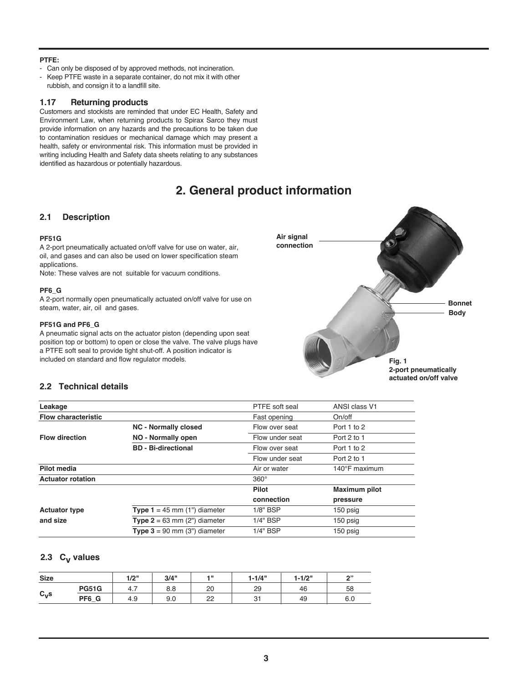#### **PTFE:**

- Can only be disposed of by approved methods, not incineration.
- Keep PTFE waste in a separate container, do not mix it with other rubbish, and consign it to a landfill site.

#### **1.17 Returning products**

Customers and stockists are reminded that under EC Health, Safety and Environment Law, when returning products to Spirax Sarco they must provide information on any hazards and the precautions to be taken due to contamination residues or mechanical damage which may present a health, safety or environmental risk. This information must be provided in writing including Health and Safety data sheets relating to any substances identified as hazardous or potentially hazardous.

# **2. General product information**

### **2.1 Description**

#### **PF51G**

A 2-port pneumatically actuated on/off valve for use on water, air, oil, and gases and can also be used on lower specification steam applications.

Note: These valves are not suitable for vacuum conditions.

#### **PF6\_G**

A 2-port normally open pneumatically actuated on/off valve for use on steam, water, air, oil and gases.

#### **PF51G and PF6\_G**

A pneumatic signal acts on the actuator piston (depending upon seat position top or bottom) to open or close the valve. The valve plugs have a PTFE soft seal to provide tight shut-off. A position indicator is included on standard and flow regulator models.



# **2.2 Technical details**

| Leakage                    |                                       | PTFE soft seal  | ANSI class V1           |
|----------------------------|---------------------------------------|-----------------|-------------------------|
| <b>Flow characteristic</b> |                                       | Fast opening    | On/off                  |
|                            | <b>NC - Normally closed</b>           | Flow over seat  | Port 1 to 2             |
| <b>Flow direction</b>      | NO - Normally open                    | Flow under seat | Port 2 to 1             |
|                            | <b>BD</b> - Bi-directional            | Flow over seat  | Port 1 to 2             |
|                            |                                       | Flow under seat | Port 2 to 1             |
| Pilot media                |                                       | Air or water    | 140 $\degree$ F maximum |
| <b>Actuator rotation</b>   |                                       | $360^\circ$     |                         |
|                            |                                       | Pilot           | Maximum pilot           |
|                            |                                       | connection      | pressure                |
| <b>Actuator type</b>       | <b>Type 1</b> = 45 mm $(1")$ diameter | 1/8" BSP        | 150 psig                |
| and size                   | <b>Type 2</b> = 63 mm $(2")$ diameter | 1/4" BSP        | 150 psig                |
|                            | <b>Type 3</b> = 90 mm $(3")$ diameter | 1/4" BSP        | 150 psig                |

### 2.3 C<sub>v</sub> values

| <b>Size</b>        |              | 1/2"<br>17 Z | 3/4" | 4 H | $1 - 1/4"$ | $1 - 1/2"$ | $\sim$ |
|--------------------|--------------|--------------|------|-----|------------|------------|--------|
|                    | <b>PG51G</b> | 4.1          | 8.8  | 20  | 29         | 46         | 58     |
| $C_{\mathbf{V}}$ s | PF6 G        | 4.9          | 9.0  | ממ  | n.         | 49         | 6.0    |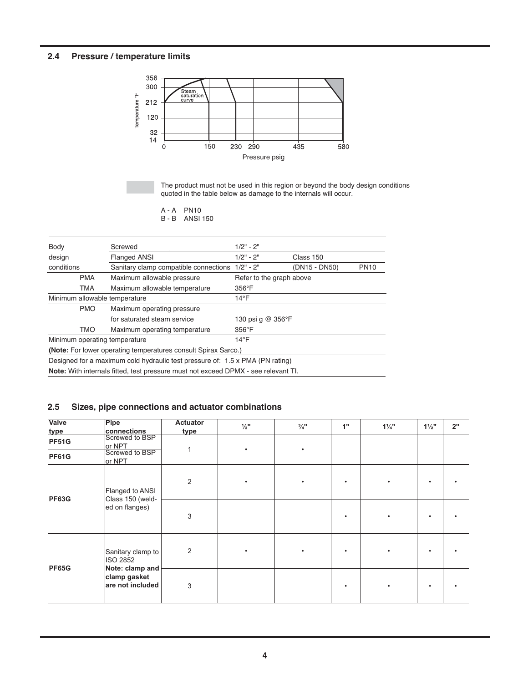# **2.4 Pressure / temperature limits**



The product must not be used in this region or beyond the body design conditions quoted in the table below as damage to the internals will occur.

A - A PN10 B - B ANSI 150

| Body                                                | Screwed                                                                                   | $1/2" - 2"$              |               |             |  |
|-----------------------------------------------------|-------------------------------------------------------------------------------------------|--------------------------|---------------|-------------|--|
| design                                              | <b>Flanged ANSI</b>                                                                       | $1/2" - 2"$              | Class 150     |             |  |
| Sanitary clamp compatible connections<br>conditions |                                                                                           | $1/2" - 2"$              | (DN15 - DN50) | <b>PN10</b> |  |
| <b>PMA</b>                                          | Maximum allowable pressure                                                                | Refer to the graph above |               |             |  |
| TMA                                                 | Maximum allowable temperature                                                             | $356^{\circ}$ F          |               |             |  |
| Minimum allowable temperature                       |                                                                                           | $14^{\circ}$ F           |               |             |  |
| <b>PMO</b>                                          | Maximum operating pressure                                                                |                          |               |             |  |
|                                                     | for saturated steam service                                                               | 130 psi q @ 356°F        |               |             |  |
| <b>TMO</b><br>Maximum operating temperature         |                                                                                           | $356^{\circ}$ F          |               |             |  |
| Minimum operating temperature                       |                                                                                           | $14^{\circ}$ F           |               |             |  |
|                                                     | (Note: For lower operating temperatures consult Spirax Sarco.)                            |                          |               |             |  |
|                                                     | Designed for a maximum cold hydraulic test pressure of: 1.5 x PMA (PN rating)             |                          |               |             |  |
|                                                     | <b>Note:</b> With internals fitted, test pressure must not exceed DPMX - see relevant TI. |                          |               |             |  |

# **2.5 Sizes, pipe connections and actuator combinations**

| Valve<br><u>type</u>         | Pipe<br>connections                                     | <b>Actuator</b><br>type | $\frac{1}{2}$ " | $\frac{3}{4}$ " | 1" | $1\frac{1}{4}$ | $1\frac{1}{2}$ | 2" |
|------------------------------|---------------------------------------------------------|-------------------------|-----------------|-----------------|----|----------------|----------------|----|
| <b>PF51G</b><br><b>PF61G</b> | Screwed to BSP<br>or NPT<br>Screwed to BSP              |                         |                 |                 |    |                |                |    |
|                              | or NPT<br>Flanged to ANSI                               | $\overline{2}$          |                 |                 |    |                |                |    |
| <b>PF63G</b>                 | Class 150 (weld-<br>ed on flanges)                      | 3                       |                 |                 |    | ٠              |                |    |
| <b>PF65G</b>                 | Sanitary clamp to<br><b>ISO 2852</b><br>Note: clamp and | $\overline{2}$          |                 |                 |    |                |                |    |
|                              | clamp gasket<br>are not included                        | 3                       |                 |                 |    |                |                |    |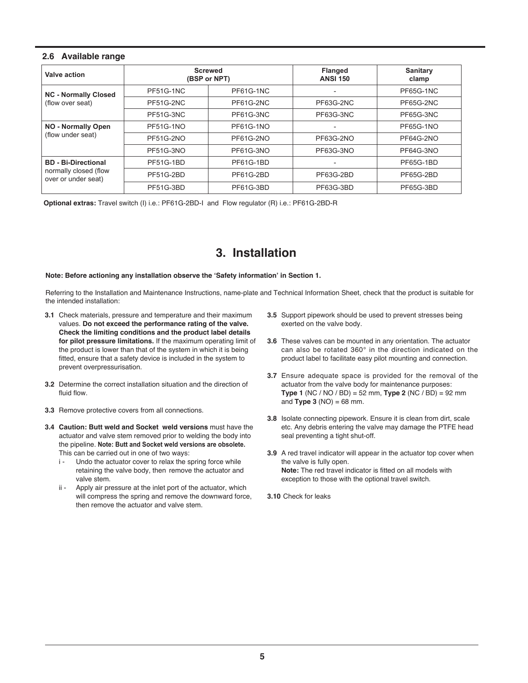### **2.6 Available range**

| Valve action                                 | <b>Screwed</b><br>(BSP or NPT) |           | <b>Flanged</b><br><b>ANSI 150</b> | <b>Sanitary</b><br>clamp |
|----------------------------------------------|--------------------------------|-----------|-----------------------------------|--------------------------|
| <b>NC - Normally Closed</b>                  | PF51G-1NC                      | PF61G-1NC | $\overline{a}$                    | PF65G-1NC                |
| (flow over seat)                             | PF51G-2NC                      | PF61G-2NC | PF63G-2NC                         | PF65G-2NC                |
|                                              | PF51G-3NC                      | PF61G-3NC | PF63G-3NC                         | PF65G-3NC                |
| <b>NO - Normally Open</b>                    | <b>PF51G-1NO</b>               | PF61G-1NO |                                   | <b>PF65G-1NO</b>         |
| (flow under seat)                            | PF51G-2NO                      | PF61G-2NO | PF63G-2NO                         | PF64G-2NO                |
|                                              | <b>PF51G-3NO</b>               | PF61G-3NO | PF63G-3NO                         | PF64G-3NO                |
| <b>BD</b> - Bi-Directional                   | <b>PF51G-1BD</b>               | PF61G-1BD |                                   | <b>PF65G-1BD</b>         |
| normally closed (flow<br>over or under seat) | PF51G-2BD                      | PF61G-2BD | PF63G-2BD                         | PF65G-2BD                |
|                                              | PF51G-3BD                      | PF61G-3BD | PF63G-3BD                         | PF65G-3BD                |

**Optional extras:** Travel switch (I) i.e.: PF61G-2BD-I and Flow regulator (R) i.e.: PF61G-2BD-R

# **3. Installation**

#### **Note: Before actioning any installation observe the 'Safety information' in Section 1.**

Referring to the Installation and Maintenance Instructions, name-plate and Technical Information Sheet, check that the product is suitable for the intended installation:

- **3.1** Check materials, pressure and temperature and their maximum values. **Do not exceed the performance rating of the valve. Check the limiting conditions and the product label details for pilot pressure limitations.** If the maximum operating limit of the product is lower than that of the system in which it is being fitted, ensure that a safety device is included in the system to prevent overpressurisation.
- **3.2** Determine the correct installation situation and the direction of fluid flow.
- **3.3** Remove protective covers from all connections.
- **3.4 Caution: Butt weld and Socket weld versions** must have the actuator and valve stem removed prior to welding the body into the pipeline. **Note: Butt and Socket weld versions are obsolete.** This can be carried out in one of two ways:
	- i Undo the actuator cover to relax the spring force while retaining the valve body, then remove the actuator and valve stem.
	- ii Apply air pressure at the inlet port of the actuator, which will compress the spring and remove the downward force, then remove the actuator and valve stem.
- **3.5** Support pipework should be used to prevent stresses being exerted on the valve body.
- **3.6** These valves can be mounted in any orientation. The actuator can also be rotated 360° in the direction indicated on the product label to facilitate easy pilot mounting and connection.
- **3.7** Ensure adequate space is provided for the removal of the actuator from the valve body for maintenance purposes: **Type 1** (NC / NO / BD) = 52 mm, **Type 2** (NC / BD) = 92 mm and **Type 3** (NO) = 68 mm.
- **3.8** Isolate connecting pipework. Ensure it is clean from dirt, scale etc. Any debris entering the valve may damage the PTFE head seal preventing a tight shut-off.
- **3.9** A red travel indicator will appear in the actuator top cover when the valve is fully open. **Note:** The red travel indicator is fitted on all models with exception to those with the optional travel switch.
- **3.10** Check for leaks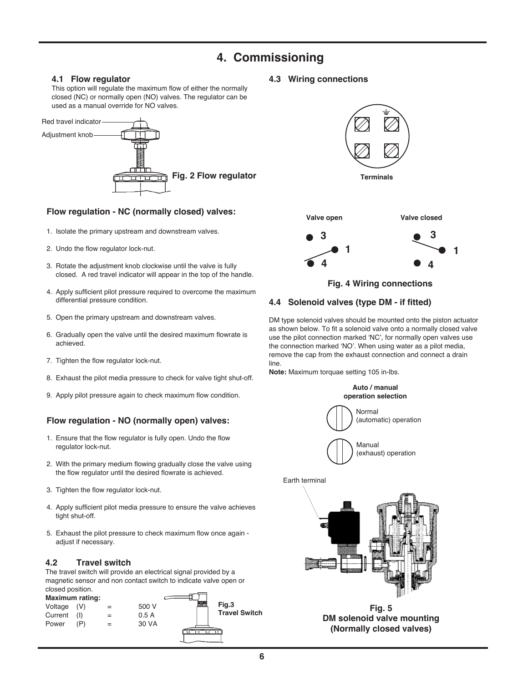# **4. Commissioning**

### **4.1 Flow regulator**

This option will regulate the maximum flow of either the normally closed (NC) or normally open (NO) valves. The regulator can be used as a manual override for NO valves.



# **Flow regulation - NC (normally closed) valves:**

- 1. Isolate the primary upstream and downstream valves.
- 2. Undo the flow regulator lock-nut.
- 3. Rotate the adjustment knob clockwise until the valve is fully closed. A red travel indicator will appear in the top of the handle.
- 4. Apply sufficient pilot pressure required to overcome the maximum differential pressure condition.
- 5. Open the primary upstream and downstream valves.
- 6. Gradually open the valve until the desired maximum flowrate is achieved.
- 7. Tighten the flow regulator lock-nut.
- 8. Exhaust the pilot media pressure to check for valve tight shut-off.
- 9. Apply pilot pressure again to check maximum flow condition.

# **Flow regulation - NO (normally open) valves:**

- 1. Ensure that the flow regulator is fully open. Undo the flow regulator lock-nut.
- 2. With the primary medium flowing gradually close the valve using the flow regulator until the desired flowrate is achieved.
- 3. Tighten the flow regulator lock-nut.
- 4. Apply sufficient pilot media pressure to ensure the valve achieves tight shut-off.
- 5. Exhaust the pilot pressure to check maximum flow once again adjust if necessary.

# **4.2 Travel switch**

The travel switch will provide an electrical signal provided by a magnetic sensor and non contact switch to indicate valve open or closed position.



**4.3 Wiring connections**



### **4.4 Solenoid valves (type DM - if fitted)**

DM type solenoid valves should be mounted onto the piston actuator as shown below. To fit a solenoid valve onto a normally closed valve use the pilot connection marked 'NC', for normally open valves use the connection marked 'NO'. When using water as a pilot media, remove the cap from the exhaust connection and connect a drain line.

**Note:** Maximum torquae setting 105 in-lbs.





**Fig. 5 DM solenoid valve mounting (Normally closed valves)**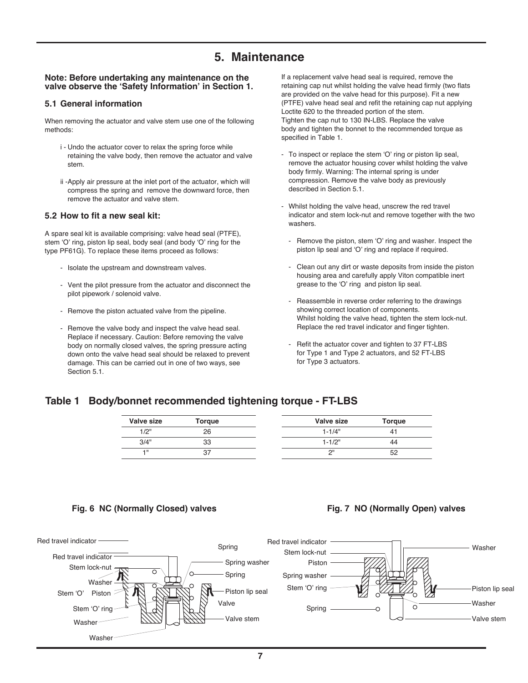# **5. Maintenance**

#### **Note: Before undertaking any maintenance on the valve observe the 'Safety Information' in Section 1.**

#### **5.1 General information**

When removing the actuator and valve stem use one of the following methods:

- i Undo the actuator cover to relax the spring force while retaining the valve body, then remove the actuator and valve stem.
- ii -Apply air pressure at the inlet port of the actuator, which will compress the spring and remove the downward force, then remove the actuator and valve stem.

#### **5.2 How to fit a new seal kit:**

A spare seal kit is available comprising: valve head seal (PTFE), stem 'O' ring, piston lip seal, body seal (and body 'O' ring for the type PF61G). To replace these items proceed as follows:

- Isolate the upstream and downstream valves.
- Vent the pilot pressure from the actuator and disconnect the pilot pipework / solenoid valve.
- Remove the piston actuated valve from the pipeline.
- Remove the valve body and inspect the valve head seal. Replace if necessary. Caution: Before removing the valve body on normally closed valves, the spring pressure acting down onto the valve head seal should be relaxed to prevent damage. This can be carried out in one of two ways, see Section 5.1.

If a replacement valve head seal is required, remove the retaining cap nut whilst holding the valve head firmly (two flats are provided on the valve head for this purpose). Fit a new (PTFE) valve head seal and refit the retaining cap nut applying Loctite 620 to the threaded portion of the stem. Tighten the cap nut to 130 IN-LBS. Replace the valve body and tighten the bonnet to the recommended torque as specified in Table 1.

- To inspect or replace the stem 'O' ring or piston lip seal, remove the actuator housing cover whilst holding the valve body firmly. Warning: The internal spring is under compression. Remove the valve body as previously described in Section 5.1.
- Whilst holding the valve head, unscrew the red travel indicator and stem lock-nut and remove together with the two washers.
	- Remove the piston, stem 'O' ring and washer. Inspect the piston lip seal and 'O' ring and replace if required.
	- Clean out any dirt or waste deposits from inside the piston housing area and carefully apply Viton compatible inert grease to the 'O' ring and piston lip seal.
	- Reassemble in reverse order referring to the drawings showing correct location of components. Whilst holding the valve head, tighten the stem lock-nut. Replace the red travel indicator and finger tighten.
	- Refit the actuator cover and tighten to 37 FT-LBS for Type 1 and Type 2 actuators, and 52 FT-LBS for Type 3 actuators.

# **Table 1 Body/bonnet recommended tightening torque - FT-LBS**

| Valve size | Torque | Valve size | <b>Torque</b> |
|------------|--------|------------|---------------|
| 1/2"       | 26     | $1 - 1/4"$ |               |
| 3/4"       | 33     | $1 - 1/2"$ | 44            |
| $-1$       | 37     | יור        | 52            |

#### **Fig. 6 NC (Normally Closed) valves Fig. 7 NO (Normally Open) valves**